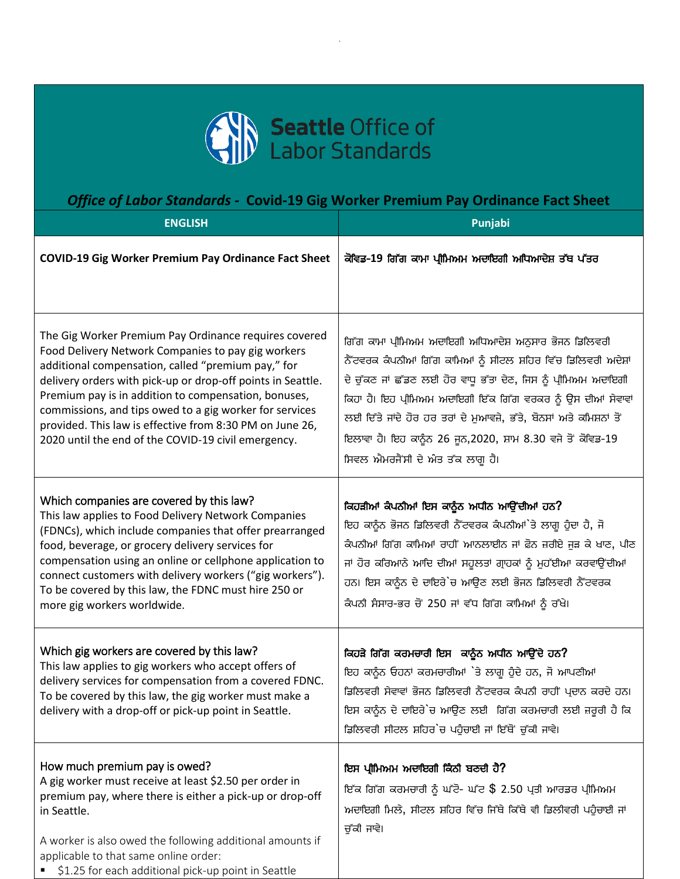

## *Office of Labor Standards -* **Covid-19 Gig Worker Premium Pay Ordinance Fact Sheet**

| <b>ENGLISH</b>                                                                                                                                                                                                                                                                                                                                                                                                                                                         | Punjabi                                                                                                                                                                                                                                                                                                                                                                                                                                   |
|------------------------------------------------------------------------------------------------------------------------------------------------------------------------------------------------------------------------------------------------------------------------------------------------------------------------------------------------------------------------------------------------------------------------------------------------------------------------|-------------------------------------------------------------------------------------------------------------------------------------------------------------------------------------------------------------------------------------------------------------------------------------------------------------------------------------------------------------------------------------------------------------------------------------------|
| <b>COVID-19 Gig Worker Premium Pay Ordinance Fact Sheet</b>                                                                                                                                                                                                                                                                                                                                                                                                            | ਕੋਵਿਡ-19 ਗਿੱਗ ਕਾਮਾ ਪ੍ਰੀਮਿਅਮ ਅਦਾਇਗੀ ਅਧਿਆਦੇਸ਼ ਤੱਥ ਪੱਤਰ                                                                                                                                                                                                                                                                                                                                                                                      |
| The Gig Worker Premium Pay Ordinance requires covered<br>Food Delivery Network Companies to pay gig workers<br>additional compensation, called "premium pay," for<br>delivery orders with pick-up or drop-off points in Seattle.<br>Premium pay is in addition to compensation, bonuses,<br>commissions, and tips owed to a gig worker for services<br>provided. This law is effective from 8:30 PM on June 26,<br>2020 until the end of the COVID-19 civil emergency. | ਗਿੱਗ ਕਾਮਾ ਪ੍ਰੀਮਿਅਮ ਅਦਾਇਗੀ ਅਧਿਆਦੇਸ਼ ਅਨੁਸਾਰ ਭੋਜਨ ਡਿਲਿਵਰੀ<br>ਨੈੱਟਵਰਕ ਕੰਪਨੀਆਂ ਗਿੱਗ ਕਾਮਿਆਂ ਨੂੰ ਸੀਟਲ ਸ਼ਹਿਰ ਵਿੱਚ ਡਿਲਿਵਰੀ ਅਦੇਸ਼ਾਂ<br>ਦੇ ਚੁੱਕਣ ਜਾਂ ਛੱਡਣ ਲਈ ਹੋਰ ਵਾਧੂ ਭੱਤਾ ਦੇਣ, ਜਿਸ ਨੂੰ ਪ੍ਰੀਮਿਅਮ ਅਦਾਇਗੀ<br>ਕਿਹਾ ਹੈ। ਇਹ ਪ੍ਰੀਮਿਅਮ ਅਦਾਇਗੀ ਇੱਕ ਗਿੱਗ ਵਰਕਰ ਨੂੰ ਉਸ ਦੀਆਂ ਸੇਵਾਵਾਂ<br>ਲਈ ਦਿੱਤੇ ਜਾਂਦੇ ਹੋਰ ਹਰ ਤਰਾਂ ਦੇ ਮੁਆਵਜ਼ੇ, ਭੱਤੇ, ਬੋਨਸਾਂ ਅਤੇ ਕਮਿਸ਼ਨਾਂ ਤੋਂ<br>ਇਲਾਵਾ ਹੈ। ਇਹ ਕਾਨੂੰਨ 26 ਜੂਨ,2020, ਸ਼ਾਮ 8.30 ਵਜੇ ਤੋਂ ਕੋਵਿਡ-19<br>ਸਿਵਲ ਐਮਰਜੈਂਸੀ ਦੇ ਅੰਤ ਤੱਕ ਲਾਗੂ ਹੈ। |
| Which companies are covered by this law?<br>This law applies to Food Delivery Network Companies<br>(FDNCs), which include companies that offer prearranged<br>food, beverage, or grocery delivery services for<br>compensation using an online or cellphone application to<br>connect customers with delivery workers ("gig workers").<br>To be covered by this law, the FDNC must hire 250 or<br>more gig workers worldwide.                                          | ਕਿਹੜੀਆਂ ਕੰਪਨੀਆਂ ਇਸ ਕਾਨੂੰਨ ਅਧੀਨ ਆਉਂਦੀਆਂ ਹਨ?<br>ਇਹ ਕਾਨੂੰਨ ਭੋਜਨ ਡਿਲਿਵਰੀ ਨੈੱਟਵਰਕ ਕੰਪਨੀਆਂ`ਤੇ ਲਾਗੂ ਹੁੰਦਾ ਹੈ, ਜੋ<br>ਕੰਪਨੀਆਂ ਗਿੱਗ ਕਾਮਿਆਂ ਰਾਹੀਂ ਆਨਲਾਈਨ ਜਾਂ ਫ਼ੋਨ ਜ਼ਰੀਏ ਜੁੜ ਕੇ ਖਾਣ, ਪੀਣ<br>ਜਾਂ ਹੋਰ ਕਰਿਆਨੇ ਆਦਿ ਦੀਆਂ ਸਹੂਲਤਾਂ ਗ੍ਰਾਹਕਾਂ ਨੂੰ ਮੁਹੱਈਆ ਕਰਵਾਉਂਦੀਆਂ<br>ਹਨ। ਇਸ ਕਾਨੂੰਨ ਦੇ ਦਾਇਰੇ`ਚ ਆਉਣ ਲਈ ਭੋਜਨ ਡਿਲਿਵਰੀ ਨੈੱਟਵਰਕ<br>ਕੰਪਨੀ ਸੰਸਾਰ-ਭਰ ਚੋਂ 250 ਜਾਂ ਵੱਧ ਗਿੱਗ ਕਾਮਿਆਂ ਨੂੰ ਰੱਖੇ।                                                                            |
| Which gig workers are covered by this law?<br>This law applies to gig workers who accept offers of<br>delivery services for compensation from a covered FDNC.<br>To be covered by this law, the gig worker must make a<br>delivery with a drop-off or pick-up point in Seattle.                                                                                                                                                                                        | ਕਿਹੜੇ ਗਿੱਗ ਕਰਮਚਾਰੀ ਇਸ ਕਾਨੂੰਨ ਅਧੀਨ ਆਉਂਦੇ ਹਨ?<br>ਇਹ ਕਾਨੂੰਨ ਓਹਨਾਂ ਕਰਮਚਾਰੀਆਂ `ਤੇ ਲਾਗੂ ਹੁੰਦੇ ਹਨ, ਜੋ ਆਪਣੀਆਂ<br>ਡਿਲਿਵਰੀ ਸੇਵਾਵਾਂ ਭੋਜਨ ਡਿਲਿਵਰੀ ਨੈੱਟਵਰਕ ਕੰਪਨੀ ਰਾਹੀਂ ਪ੍ਰਦਾਨ ਕਰਦੇ ਹਨ।<br>ਇਸ ਕਾਨੂੰਨ ਦੇ ਦਾਇਰੇ`ਚ ਆਉਣ ਲਈ ਗਿੱਗ ਕਰਮਚਾਰੀ ਲਈ ਜ਼ਰੂਰੀ ਹੈ ਕਿ<br>ਡਿਲਿਵਰੀ ਸੀਟਲ ਸ਼ਹਿਰ`ਚ ਪਹੁੰਚਾਈ ਜਾਂ ਇੱਥੋਂ ਚੁੱਕੀ ਜਾਵੇ।                                                                                                                                               |
| How much premium pay is owed?<br>A gig worker must receive at least \$2.50 per order in<br>premium pay, where there is either a pick-up or drop-off<br>in Seattle.<br>A worker is also owed the following additional amounts if<br>applicable to that same online order:<br>■ \$1.25 for each additional pick-up point in Seattle                                                                                                                                      | ਇਸ ਪ੍ਰੀਮਿਅਮ ਅਦਾਇਗੀ ਕਿੰਨੀ ਬਣਦੀ ਹੈ?<br>ਇੱਕ ਗਿੱਗ ਕਰਮਚਾਰੀ ਨੂੰ ਘੱਟੋ- ਘੱਟ \$ 2.50 ਪ੍ਰਤੀ ਆਰਡਰ ਪ੍ਰੀਮਿਅਮ<br>ਅਦਾਇਗੀ ਮਿਲੇ, ਸੀਟਲ ਸ਼ਹਿਰ ਵਿੱਚ ਜਿੱਥੇ ਕਿੱਥੇ ਵੀ ਡਿਲੀਵਰੀ ਪਹੁੰਚਾਈ ਜਾਂ<br>ਚੁੱਕੀ ਜਾਵੇ।                                                                                                                                                                                                                                                         |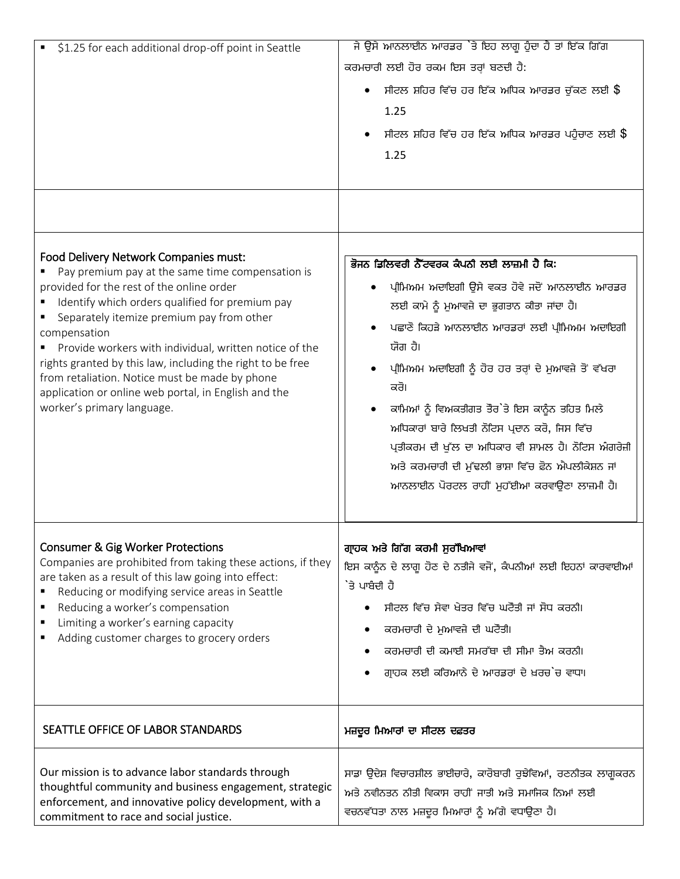| \$1.25 for each additional drop-off point in Seattle                                                                                                                                                                                                                                                                                                                                                                                                                                                                   | ਜੇ ਉਸੇ ਆਨਲਾਈਨ ਆਰਡਰ `ਤੇ ਇਹ ਲਾਗੂ ਹੁੰਦਾ ਹੈ ਤਾਂ ਇੱਕ ਗਿੱਗ<br>ਕਰਮਚਾਰੀ ਲਈ ਹੋਰ ਰਕਮ ਇਸ ਤਰ੍ਹਾਂ ਬਣਦੀ ਹੈ:<br>ਸੀਟਲ ਸ਼ਹਿਰ ਵਿੱਚ ਹਰ ਇੱਕ ਅਧਿਕ ਆਰਡਰ ਚੁੱਕਣ ਲਈ \$<br>1.25<br>ਸੀਟਲ ਸ਼ਹਿਰ ਵਿੱਚ ਹਰ ਇੱਕ ਅਧਿਕ ਆਰਡਰ ਪਹੁੰਚਾਣ ਲਈ \$<br>1.25                                                                                                                                                                                                                                                                                                                                |
|------------------------------------------------------------------------------------------------------------------------------------------------------------------------------------------------------------------------------------------------------------------------------------------------------------------------------------------------------------------------------------------------------------------------------------------------------------------------------------------------------------------------|------------------------------------------------------------------------------------------------------------------------------------------------------------------------------------------------------------------------------------------------------------------------------------------------------------------------------------------------------------------------------------------------------------------------------------------------------------------------------------------------------------------------------------------------|
| Food Delivery Network Companies must:<br>Pay premium pay at the same time compensation is<br>provided for the rest of the online order<br>Identify which orders qualified for premium pay<br>Separately itemize premium pay from other<br>compensation<br>Provide workers with individual, written notice of the<br>rights granted by this law, including the right to be free<br>from retaliation. Notice must be made by phone<br>application or online web portal, in English and the<br>worker's primary language. | ਭੋਜਨ ਡਿਲਿਵਰੀ ਨੈੱਟਵਰਕ ਕੈਪਨੀ ਲਈ ਲਾਜ਼ਮੀ ਹੈ ਕਿ:<br>ਪ੍ਰੀਮਿਅਮ ਅਦਾਇਗੀ ਉਸੇ ਵਕਤ ਹੋਵੇ ਜਦੋਂ ਆਨਲਾਈਨ ਆਰਡਰ<br>ਲਈ ਕਾਮੇ ਨੂੰ ਮੁਆਵਜ਼ੇ ਦਾ ਭੁਗਤਾਨ ਕੀਤਾ ਜਾਂਦਾ ਹੈ।<br>ਪਛਾਣੋ ਕਿਹੜੇ ਆਨਲਾਈਨ ਆਰਡਰਾਂ ਲਈ ਪ੍ਰੀਮਿਅਮ ਅਦਾਇਗੀ<br>ਯੋਗ ਹੈ।<br>ਪ੍ਰੀਮਿਅਮ ਅਦਾਇਗੀ ਨੂੰ ਹੋਰ ਹਰ ਤਰ੍ਹਾਂ ਦੇ ਮੁਆਵਜ਼ੇ ਤੋਂ ਵੱਖਰਾ<br>ਕਰੋ।<br>ਕਾਮਿਆਂ ਨੂੰ ਵਿਅਕਤੀਗਤ ਤੌਰ`ਤੇ ਇਸ ਕਾਨੂੰਨ ਤਹਿਤ ਮਿਲੇ<br>ਅਧਿਕਾਰਾਂ ਬਾਰੇ ਲਿਖਤੀ ਨੋਟਿਸ ਪ੍ਰਦਾਨ ਕਰੋ, ਜਿਸ ਵਿੱਚ<br>ਪ੍ਰਤੀਕਰਮ ਦੀ ਖੁੱਲ ਦਾ ਅਧਿਕਾਰ ਵੀ ਸ਼ਾਮਲ ਹੈ। ਨੋਟਿਸ ਅੰਗਰੇਜ਼ੀ<br>ਅਤੇ ਕਰਮਚਾਰੀ ਦੀ ਮੁੱਢਲੀ ਭਾਸ਼ਾ ਵਿੱਚ ਫ਼ੋਨ ਐਪਲੀਕੇਸ਼ਨ ਜਾਂ<br>ਆਨਲਾਈਨ ਪੋਰਟਲ ਰਾਹੀਂ ਮੁਹੱਈਆ ਕਰਵਾਉਣਾ ਲਾਜ਼ਮੀ ਹੈ। |
| <b>Consumer &amp; Gig Worker Protections</b><br>Companies are prohibited from taking these actions, if they<br>are taken as a result of this law going into effect:<br>Reducing or modifying service areas in Seattle<br>Reducing a worker's compensation<br>٠<br>Limiting a worker's earning capacity<br>Adding customer charges to grocery orders                                                                                                                                                                    | ਗ੍ਰਾਹਕ ਅਤੇ ਗਿੱਗ ਕਰਮੀ ਸੁਰੱਖਿਆਵਾਂ<br>ਇਸ ਕਾਨੂੰਨ ਦੇ ਲਾਗੂ ਹੋਣ ਦੇ ਨਤੀਜੇ ਵਜੋਂ, ਕੰਪਨੀਆਂ ਲਈ ਇਹਨਾਂ ਕਾਰਵਾਈਆਂ<br>`ਤੇ ਪਾਬੰਦੀ ਹੈ<br>ਸੀਟਲ ਵਿੱਚ ਸੇਵਾ ਖੇਤਰ ਵਿੱਚ ਘਟੋੌਤੀ ਜਾਂ ਸੋਧ ਕਰਨੀ।<br>ਕਰਮਚਾਰੀ ਦੇ ਮੁਆਵਜ਼ੇ ਦੀ ਘਟੋੌਤੀ।<br>ਕਰਮਚਾਰੀ ਦੀ ਕਮਾਈ ਸਮਰੱਥਾ ਦੀ ਸੀਮਾ ਤੈਅ ਕਰਨੀ।<br>ਗ੍ਰਾਹਕ ਲਈ ਕਰਿਆਨੇ ਦੇ ਆਰਡਰਾਂ ਦੇ ਖ਼ਰਚ`ਚ ਵਾਧਾ।                                                                                                                                                                                                                                                 |
| SEATTLE OFFICE OF LABOR STANDARDS                                                                                                                                                                                                                                                                                                                                                                                                                                                                                      | ਮਜ਼ਦੂਰ ਮਿਆਰਾਂ ਦਾ ਸੀਟਲ ਦਫ਼ਤਰ                                                                                                                                                                                                                                                                                                                                                                                                                                                                                                                    |
| Our mission is to advance labor standards through<br>thoughtful community and business engagement, strategic<br>enforcement, and innovative policy development, with a<br>commitment to race and social justice.                                                                                                                                                                                                                                                                                                       | ਸਾਡਾ ਉਦੇਸ਼ ਵਿਚਾਰਸ਼ੀਲ ਭਾਈਚਾਰੇ, ਕਾਰੋਬਾਰੀ ਰੁਝੇਵਿਆਂ, ਰਣਨੀਤਕ ਲਾਗੂਕਰਨ<br>ਅਤੇ ਨਵੀਨਤਨ ਨੀਤੀ ਵਿਕਾਸ ਰਾਹੀਂ ਜਾਤੀ ਅਤੇ ਸਮਾਜਿਕ ਨਿਆਂ ਲਈ<br>ਵਚਨਵੱਧਤਾ ਨਾਲ ਮਜ਼ਦੂਰ ਮਿਆਰਾਂ ਨੂੰ ਅੱਗੇ ਵਧਾਉਣਾ ਹੈ।                                                                                                                                                                                                                                                                                                                                                                       |